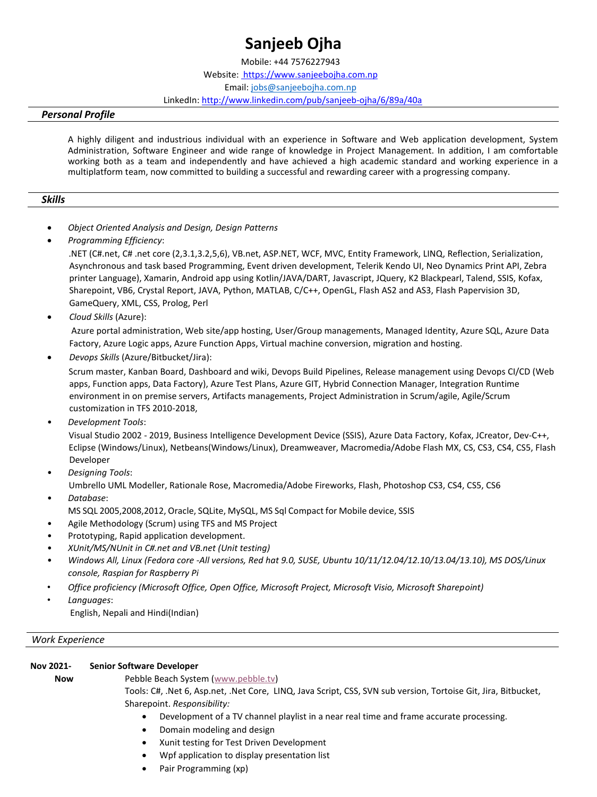# **Sanjeeb Ojha**

Mobile: +44 7576227943 Website[: https://www.sanjeebojha.co](http://www.sanjeebojha.com.np/)[m.np](https://www.sanjeebojha.com.np/) Email[: jobs@sanjeebojha.com.np](mailto:jobs@sanjeebojha.com.np) LinkedI[n: http://www.linkedin.com/pub/sanjeeb-ojha/6/89a/40a](http://www.linkedin.com/pub/sanjeeb-ojha/6/89a/40a)

#### *Personal Profile*

A highly diligent and industrious individual with an experience in Software and Web application development, System Administration, Software Engineer and wide range of knowledge in Project Management. In addition, I am comfortable working both as a team and independently and have achieved a high academic standard and working experience in a multiplatform team, now committed to building a successful and rewarding career with a progressing company.

#### *Skills*

- *Object Oriented Analysis and Design, Design Patterns*
- *Programming Efficiency*:

.NET (C#.net, C# .net core (2,3.1,3.2,5,6), VB.net, ASP.NET, WCF, MVC, Entity Framework, LINQ, Reflection, Serialization, Asynchronous and task based Programming, Event driven development, Telerik Kendo UI, Neo Dynamics Print API, Zebra printer Language), Xamarin, Android app using Kotlin/JAVA/DART, Javascript, JQuery, K2 Blackpearl, Talend, SSIS, Kofax, Sharepoint, VB6, Crystal Report, JAVA, Python, MATLAB, C/C++, OpenGL, Flash AS2 and AS3, Flash Papervision 3D, GameQuery, XML, CSS, Prolog, Perl

• *Cloud Skills* (Azure):

Azure portal administration, Web site/app hosting, User/Group managements, Managed Identity, Azure SQL, Azure Data Factory, Azure Logic apps, Azure Function Apps, Virtual machine conversion, migration and hosting.

• *Devops Skills* (Azure/Bitbucket/Jira):

Scrum master, Kanban Board, Dashboard and wiki, Devops Build Pipelines, Release management using Devops CI/CD (Web apps, Function apps, Data Factory), Azure Test Plans, Azure GIT, Hybrid Connection Manager, Integration Runtime environment in on premise servers, Artifacts managements, Project Administration in Scrum/agile, Agile/Scrum customization in TFS 2010-2018,

• *Development Tools*:

Visual Studio 2002 - 2019, Business Intelligence Development Device (SSIS), Azure Data Factory, Kofax, JCreator, Dev-C++, Eclipse (Windows/Linux), Netbeans(Windows/Linux), Dreamweaver, Macromedia/Adobe Flash MX, CS, CS3, CS4, CS5, Flash Developer

- *Designing Tools*: Umbrello UML Modeller, Rationale Rose, Macromedia/Adobe Fireworks, Flash, Photoshop CS3, CS4, CS5, CS6
- *Database*: MS SQL 2005,2008,2012, Oracle, SQLite, MySQL, MS Sql Compact for Mobile device, SSIS
- Agile Methodology (Scrum) using TFS and MS Project
- Prototyping, Rapid application development.
- *XUnit/MS/NUnit in C#.net and VB.net (Unit testing)*
- *Windows All, Linux (Fedora core -All versions, Red hat 9.0, SUSE, Ubuntu 10/11/12.04/12.10/13.04/13.10), MS DOS/Linux console, Raspian for Raspberry Pi*
- *Office proficiency (Microsoft Office, Open Office, Microsoft Project, Microsoft Visio, Microsoft Sharepoint)*
- *Languages*:

English, Nepali and Hindi(Indian)

#### *Work Experience*

| Nov 2021- | <b>Senior Software Developer</b> |
|-----------|----------------------------------|
|-----------|----------------------------------|

**Now** Pebble Beach System [\(www.pebble.tv\)](http://www.pebble.tv/)

Tools: C#, .Net 6, Asp.net, .Net Core, LINQ, Java Script, CSS, SVN sub version, Tortoise Git, Jira, Bitbucket, Sharepoint. *Responsibility:*

- Development of a TV channel playlist in a near real time and frame accurate processing.
- Domain modeling and design
- Xunit testing for Test Driven Development
- Wpf application to display presentation list
- Pair Programming (xp)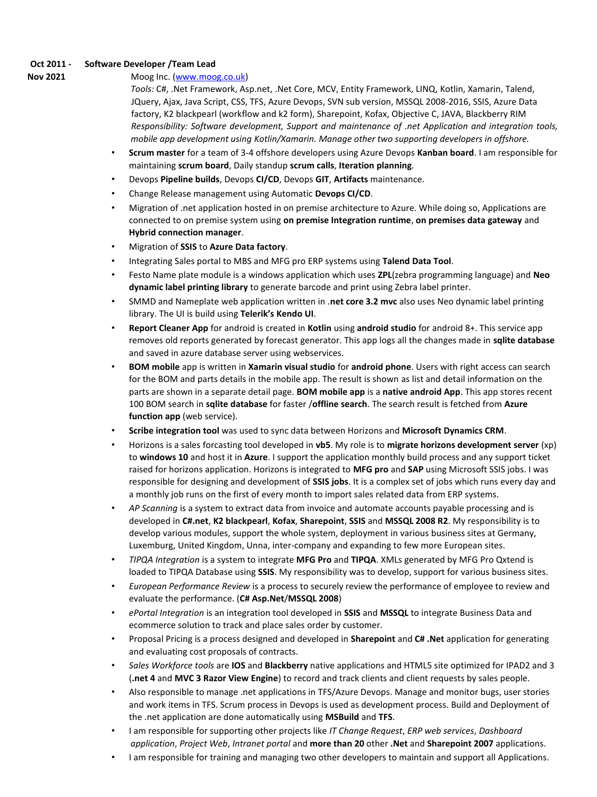#### **Oct 2011 - Software Developer /Team Lead**

#### **Nov 2021** Moog Inc. [\(www.moog.co.uk\)](http://www.moog.co.uk/)

*Tools:* C#, .Net Framework, Asp.net, .Net Core, MCV, Entity Framework, LINQ, Kotlin, Xamarin, Talend, JQuery, Ajax, Java Script, CSS, TFS, Azure Devops, SVN sub version, MSSQL 2008-2016, SSIS, Azure Data factory, K2 blackpearl (workflow and k2 form), Sharepoint, Kofax, Objective C, JAVA, Blackberry RIM *Responsibility: Software development, Support and maintenance of .net Application and integration tools, mobile app development using Kotlin/Xamarin. Manage other two supporting developers in offshore.* 

- **Scrum master** for a team of 3-4 offshore developers using Azure Devops **Kanban board**. I am responsible for maintaining **scrum board**, Daily standup **scrum calls**, **Iteration planning**.
- Devops **Pipeline builds**, Devops **CI/CD**, Devops **GIT**, **Artifacts** maintenance.
- Change Release management using Automatic **Devops CI/CD**.
- Migration of .net application hosted in on premise architecture to Azure. While doing so, Applications are connected to on premise system using **on premise Integration runtime**, **on premises data gateway** and **Hybrid connection manager**.
- Migration of **SSIS** to **Azure Data factory**.
- Integrating Sales portal to MBS and MFG pro ERP systems using **Talend Data Tool**.
- Festo Name plate module is a windows application which uses **ZPL**(zebra programming language) and **Neo dynamic label printing library** to generate barcode and print using Zebra label printer.
- SMMD and Nameplate web application written in .**net core 3.2 mvc** also uses Neo dynamic label printing library. The UI is build using **Telerik's Kendo UI**.
- **Report Cleaner App** for android is created in **Kotlin** using **android studio** for android 8+. This service app removes old reports generated by forecast generator. This app logs all the changes made in **sqlite database** and saved in azure database server using webservices.
- **BOM mobile** app is written in **Xamarin visual studio** for **android phone**. Users with right access can search for the BOM and parts details in the mobile app. The result is shown as list and detail information on the parts are shown in a separate detail page. **BOM mobile app** is a **native android App**. This app stores recent 100 BOM search in **sqlite database** for faster /**offline search**. The search result is fetched from **Azure function app** (web service).
- **Scribe integration tool** was used to sync data between Horizons and **Microsoft Dynamics CRM**.
- Horizons is a sales forcasting tool developed in **vb5**. My role is to **migrate horizons development server** (xp) to **windows 10** and host it in **Azure**. I support the application monthly build process and any support ticket raised for horizons application. Horizons is integrated to **MFG pro** and **SAP** using Microsoft SSIS jobs. I was responsible for designing and development of **SSIS jobs**. It is a complex set of jobs which runs every day and a monthly job runs on the first of every month to import sales related data from ERP systems.
- *AP Scanning* is a system to extract data from invoice and automate accounts payable processing and is developed in **C#.net**, **K2 blackpearl**, **Kofax**, **Sharepoint**, **SSIS** and **MSSQL 2008 R2**. My responsibility is to develop various modules, support the whole system, deployment in various business sites at Germany, Luxemburg, United Kingdom, Unna, inter-company and expanding to few more European sites.
- *TIPQA Integration* is a system to integrate **MFG Pro** and **TIPQA**. XMLs generated by MFG Pro Qxtend is loaded to TIPQA Database using **SSIS**. My responsibility was to develop, support for various business sites.
- *European Performance Review* is a process to securely review the performance of employee to review and evaluate the performance. (**C# Asp.Net**/**MSSQL 2008**)
- *ePortal Integration* is an integration tool developed in **SSIS** and **MSSQL** to integrate Business Data and ecommerce solution to track and place sales order by customer.
- Proposal Pricing is a process designed and developed in **Sharepoint** and **C# .Net** application for generating and evaluating cost proposals of contracts.
- *Sales Workforce tools* are **IOS** and **Blackberry** native applications and HTML5 site optimized for IPAD2 and 3 (**.net 4** and **MVC 3 Razor View Engine**) to record and track clients and client requests by sales people.
- Also responsible to manage .net applications in TFS/Azure Devops. Manage and monitor bugs, user stories and work items in TFS. Scrum process in Devops is used as development process. Build and Deployment of the .net application are done automatically using **MSBuild** and **TFS**.
- I am responsible for supporting other projects like *IT Change Request*, *ERP web services*, *Dashboard application*, *Project Web*, *Intranet portal* and **more than 20** other **.Net** and **Sharepoint 2007** applications.
- I am responsible for training and managing two other developers to maintain and support all Applications.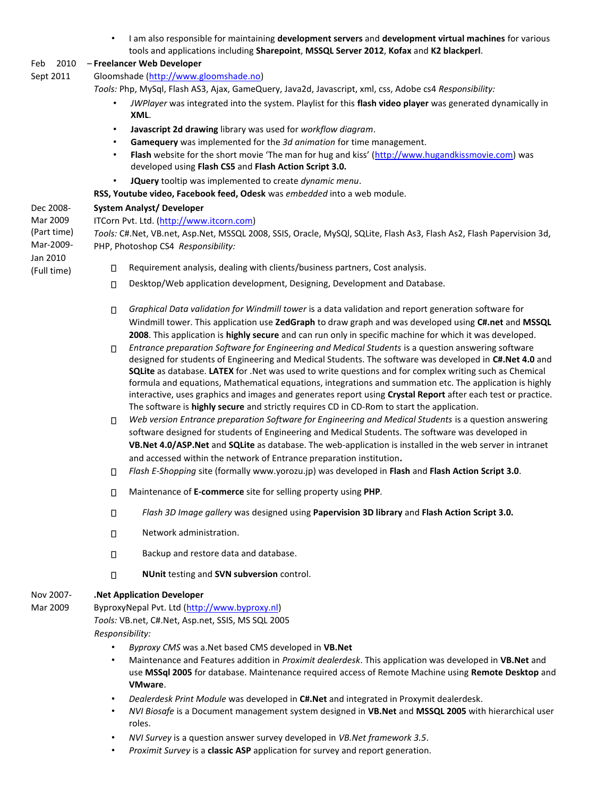• I am also responsible for maintaining **development servers** and **development virtual machines** for various tools and applications including **Sharepoint**, **MSSQL Server 2012**, **Kofax** and **K2 blackperl**.

## Feb 2010 – **Freelancer Web Developer**

Sept 2011 Gloomshade [\(http://www.gloomshade.no\)](http://www.gloomshade.no/)

*Tools:* Php, MySql, Flash AS3, Ajax, GameQuery, Java2d, Javascript, xml, css, Adobe cs4 *Responsibility:* 

- *JWPlayer* was integrated into the system. Playlist for this **flash video player** was generated dynamically in **XML**.
- **Javascript 2d drawing** library was used for *workflow diagram*.
- **Gamequery** was implemented for the *3d animation* for time management.
- **Flash** website for the short movie 'The man for hug and kiss' ([http://www.hugandkissmovie.com\)](http://www.hugandkissmovie.com/) was developed using **Flash CS5** and **Flash Action Script 3.0.**
- **JQuery** tooltip was implemented to create *dynamic menu*.
- **RSS, Youtube video, Facebook feed, Odesk** was *embedded* into a web module.

#### Dec 2008- **System Analyst/ Developer**

Mar 2009 ITCorn Pvt. Ltd. [\(http://www.itcorn.com\)](http://www.itcorn.com/) (Part time) *Tools:* C#.Net, VB.net, Asp.Net, MSSQL 2008, SSIS, Oracle, MySQl, SQLite, Flash As3, Flash As2, Flash Papervision 3d, Mar-2009- PHP, Photoshop CS4 *Responsibility:*  Jan 2010 Requirement analysis, dealing with clients/business partners, Cost analysis.  $\Box$ (Full time)

- Desktop/Web application development, Designing, Development and Database.  $\Box$
- *Graphical Data validation for Windmill tower* is a data validation and report generation software for  $\Box$ Windmill tower. This application use **ZedGraph** to draw graph and was developed using **C#.net** and **MSSQL 2008**. This application is **highly secure** and can run only in specific machine for which it was developed.
- *Entrance preparation Software for Engineering and Medical Students* is a question answering software  $\Box$ designed for students of Engineering and Medical Students. The software was developed in **C#.Net 4.0** and **SQLite** as database. **LATEX** for .Net was used to write questions and for complex writing such as Chemical formula and equations, Mathematical equations, integrations and summation etc. The application is highly interactive, uses graphics and images and generates report using **Crystal Report** after each test or practice. The software is **highly secure** and strictly requires CD in CD-Rom to start the application.
- Web version Entrance preparation Software for Engineering and Medical Students is a question answering П. software designed for students of Engineering and Medical Students. The software was developed in **VB.Net 4.0/ASP.Net** and **SQLite** as database. The web-application is installed in the web server in intranet and accessed within the network of Entrance preparation institution**.**
- *Flash E-Shopping* site (formally www.yorozu.jp) was developed in **Flash** and **Flash Action Script 3.0**.  $\Box$
- Maintenance of **E-commerce** site for selling property using **PHP***.*  $\Box$
- *Flash 3D Image gallery* was designed using **Papervision 3D library** and **Flash Action Script 3.0.**  $\Box$
- Network administration.  $\Box$
- Backup and restore data and database.  $\Box$
- $\Box$ **NUnit** testing and **SVN subversion** control.

#### Nov 2007- **.Net Application Developer**

Mar 2009

- ByproxyNepal Pvt. Ltd [\(http://www.byproxy.nl\)](http://www.byproxy.nl/) *Tools:* VB.net, C#.Net, Asp.net, SSIS, MS SQL 2005 *Responsibility:* 
	- *Byproxy CMS* was a.Net based CMS developed in **VB.Net**
	- Maintenance and Features addition in *Proximit dealerdesk*. This application was developed in **VB.Net** and use **MSSql 2005** for database. Maintenance required access of Remote Machine using **Remote Desktop** and **VMware**.
	- *Dealerdesk Print Module* was developed in **C#.Net** and integrated in Proxymit dealerdesk.
	- *NVI Biosafe* is a Document management system designed in **VB.Net** and **MSSQL 2005** with hierarchical user roles.
	- *NVI Survey* is a question answer survey developed in *VB.Net framework 3.5*.
	- *Proximit Survey* is a **classic ASP** application for survey and report generation.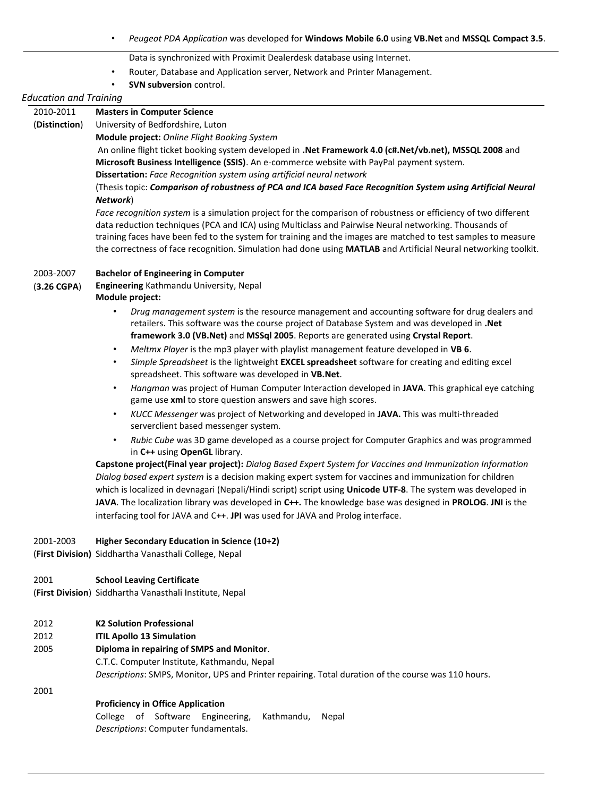- *Peugeot PDA Application* was developed for **Windows Mobile 6.0** using **VB.Net** and **MSSQL Compact 3.5**.
	- Data is synchronized with Proximit Dealerdesk database using Internet.
- Router, Database and Application server, Network and Printer Management.
- **SVN subversion** control.

#### *Education and Training*

| 2010-2011     | <b>Masters in Computer Science</b> |
|---------------|------------------------------------|
| $\sim$ $\sim$ | $\cdots$ $\cdots$ $\cdots$         |

(**Distinction**) University of Bedfordshire, Luton

**Module project:** *Online Flight Booking System*

An online flight ticket booking system developed in **.Net Framework 4.0 (c#.Net/vb.net), MSSQL 2008** and **Microsoft Business Intelligence (SSIS)**. An e-commerce website with PayPal payment system. **Dissertation:** *Face Recognition system using artificial neural network*

(Thesis topic: *Comparison of robustness of PCA and ICA based Face Recognition System using Artificial Neural Network*)

*Face recognition system* is a simulation project for the comparison of robustness or efficiency of two different data reduction techniques (PCA and ICA) using Multiclass and Pairwise Neural networking. Thousands of training faces have been fed to the system for training and the images are matched to test samples to measure the correctness of face recognition. Simulation had done using **MATLAB** and Artificial Neural networking toolkit.

#### 2003-2007 **Bachelor of Engineering in Computer**

(**3.26 CGPA**) **Engineering** Kathmandu University, Nepal **Module project:** 

- *Drug management system* is the resource management and accounting software for drug dealers and retailers. This software was the course project of Database System and was developed in **.Net framework 3.0 (VB.Net)** and **MSSql 2005**. Reports are generated using **Crystal Report**.
- *Meltmx Player* is the mp3 player with playlist management feature developed in **VB 6**.
- *Simple Spreadsheet* is the lightweight **EXCEL spreadsheet** software for creating and editing excel spreadsheet. This software was developed in **VB.Net**.
- *Hangman* was project of Human Computer Interaction developed in **JAVA**. This graphical eye catching game use **xml** to store question answers and save high scores.
- *KUCC Messenger* was project of Networking and developed in **JAVA.** This was multi-threaded serverclient based messenger system.
- *Rubic Cube* was 3D game developed as a course project for Computer Graphics and was programmed in **C++** using **OpenGL** library.

**Capstone project(Final year project):** *Dialog Based Expert System for Vaccines and Immunization Information Dialog based expert system* is a decision making expert system for vaccines and immunization for children which is localized in devnagari (Nepali/Hindi script) script using **Unicode UTF-8**. The system was developed in **JAVA**. The localization library was developed in **C++.** The knowledge base was designed in **PROLOG**. **JNI** is the interfacing tool for JAVA and C++. **JPI** was used for JAVA and Prolog interface.

#### 2001-2003 **Higher Secondary Education in Science (10+2)**

(**First Division)** Siddhartha Vanasthali College, Nepal

- 2001 **School Leaving Certificate**
- (**First Division**) Siddhartha Vanasthali Institute, Nepal
- 2012 **K2 Solution Professional**
- 2012 **ITIL Apollo 13 Simulation**
- 2005 **Diploma in repairing of SMPS and Monitor**.

C.T.C. Computer Institute, Kathmandu, Nepal *Descriptions*: SMPS, Monitor, UPS and Printer repairing. Total duration of the course was 110 hours.

2001

#### **Proficiency in Office Application**

College of Software Engineering, Kathmandu, Nepal *Descriptions*: Computer fundamentals.